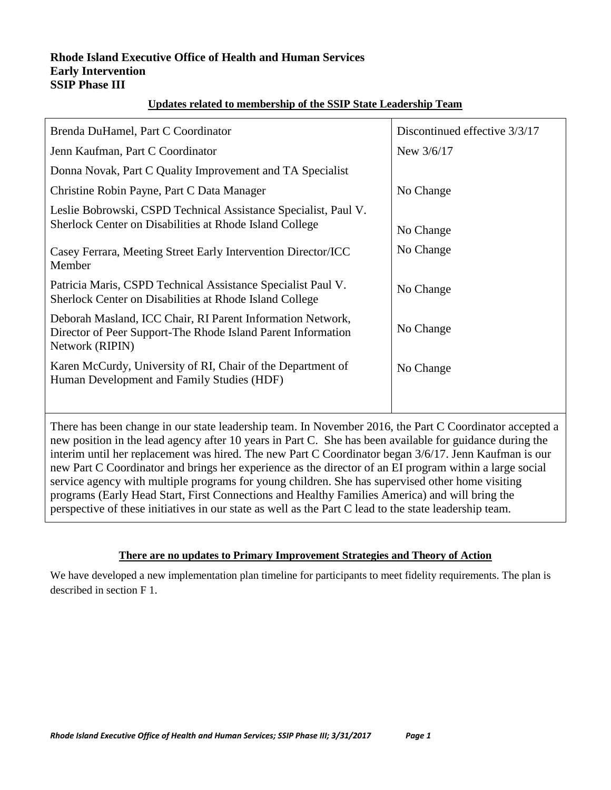#### **Rhode Island Executive Office of Health and Human Services Early Intervention SSIP Phase III**

# **Updates related to membership of the SSIP State Leadership Team**

| Brenda DuHamel, Part C Coordinator                                                                                                                                                                                                                                               | Discontinued effective 3/3/17 |
|----------------------------------------------------------------------------------------------------------------------------------------------------------------------------------------------------------------------------------------------------------------------------------|-------------------------------|
| Jenn Kaufman, Part C Coordinator                                                                                                                                                                                                                                                 | New 3/6/17                    |
| Donna Novak, Part C Quality Improvement and TA Specialist                                                                                                                                                                                                                        |                               |
| Christine Robin Payne, Part C Data Manager                                                                                                                                                                                                                                       | No Change                     |
| Leslie Bobrowski, CSPD Technical Assistance Specialist, Paul V.<br>Sherlock Center on Disabilities at Rhode Island College                                                                                                                                                       | No Change                     |
| Casey Ferrara, Meeting Street Early Intervention Director/ICC<br>Member                                                                                                                                                                                                          | No Change                     |
| Patricia Maris, CSPD Technical Assistance Specialist Paul V.<br>Sherlock Center on Disabilities at Rhode Island College                                                                                                                                                          | No Change                     |
| Deborah Masland, ICC Chair, RI Parent Information Network,<br>Director of Peer Support-The Rhode Island Parent Information<br>Network (RIPIN)                                                                                                                                    | No Change                     |
| Karen McCurdy, University of RI, Chair of the Department of<br>Human Development and Family Studies (HDF)                                                                                                                                                                        | No Change                     |
| There has been change in our state leadership team. In November 2016, the Part C Coordinator accepted a                                                                                                                                                                          |                               |
| new position in the lead agency after 10 years in Part C. She has been available for guidance during the<br>$\alpha$ , the continuum of the continuum of the definition of $\alpha$ , and $\alpha$ and $\alpha$ and $\alpha$ and $\alpha$ and $\alpha$ and $\alpha$ and $\alpha$ |                               |

interim until her replacement was hired. The new Part C Coordinator began 3/6/17. Jenn Kaufman is our new Part C Coordinator and brings her experience as the director of an EI program within a large social service agency with multiple programs for young children. She has supervised other home visiting programs (Early Head Start, First Connections and Healthy Families America) and will bring the perspective of these initiatives in our state as well as the Part C lead to the state leadership team.

#### **There are no updates to Primary Improvement Strategies and Theory of Action**

We have developed a new implementation plan timeline for participants to meet fidelity requirements. The plan is described in section F 1.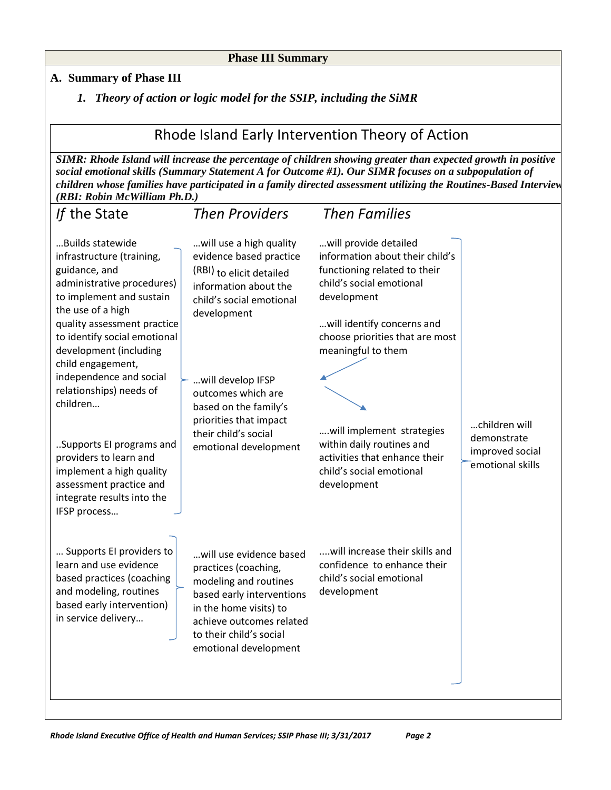#### **Phase III Summary**

### **A. Summary of Phase III**

*1. Theory of action or logic model for the SSIP, including the SiMR*

# Rhode Island Early Intervention Theory of Action

*SIMR: Rhode Island will increase the percentage of children showing greater than expected growth in positive social emotional skills (Summary Statement A for Outcome #1). Our SIMR focuses on a subpopulation of children whose families have participated in a family directed assessment utilizing the Routines-Based Interview (RBI: Robin McWilliam Ph.D.)*

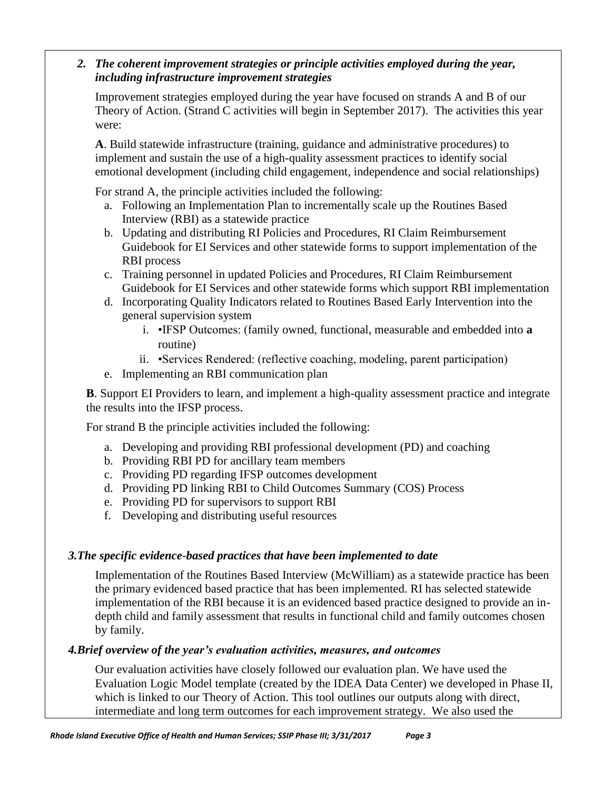# *2. The coherent improvement strategies or principle activities employed during the year, including infrastructure improvement strategies*

Improvement strategies employed during the year have focused on strands A and B of our Theory of Action. (Strand C activities will begin in September 2017). The activities this year were:

**A**. Build statewide infrastructure (training, guidance and administrative procedures) to implement and sustain the use of a high-quality assessment practices to identify social emotional development (including child engagement, independence and social relationships)

For strand A, the principle activities included the following:

- a. Following an Implementation Plan to incrementally scale up the Routines Based Interview (RBI) as a statewide practice
- b. Updating and distributing RI Policies and Procedures, RI Claim Reimbursement Guidebook for EI Services and other statewide forms to support implementation of the RBI process
- c. Training personnel in updated Policies and Procedures, RI Claim Reimbursement Guidebook for EI Services and other statewide forms which support RBI implementation
- d. Incorporating Quality Indicators related to Routines Based Early Intervention into the general supervision system
	- i. •IFSP Outcomes: (family owned, functional, measurable and embedded into **a**  routine)
	- ii. •Services Rendered: (reflective coaching, modeling, parent participation)
- e. Implementing an RBI communication plan

**B**. Support EI Providers to learn, and implement a high-quality assessment practice and integrate the results into the IFSP process.

For strand B the principle activities included the following:

- a. Developing and providing RBI professional development (PD) and coaching
- b. Providing RBI PD for ancillary team members
- c. Providing PD regarding IFSP outcomes development
- d. Providing PD linking RBI to Child Outcomes Summary (COS) Process
- e. Providing PD for supervisors to support RBI
- f. Developing and distributing useful resources

# *3.The specific evidence-based practices that have been implemented to date*

Implementation of the Routines Based Interview (McWilliam) as a statewide practice has been the primary evidenced based practice that has been implemented. RI has selected statewide implementation of the RBI because it is an evidenced based practice designed to provide an indepth child and family assessment that results in functional child and family outcomes chosen by family.

# *4.Brief overview of the year's evaluation activities, measures, and outcomes*

Our evaluation activities have closely followed our evaluation plan. We have used the Evaluation Logic Model template (created by the IDEA Data Center) we developed in Phase II, which is linked to our Theory of Action. This tool outlines our outputs along with direct, intermediate and long term outcomes for each improvement strategy. We also used the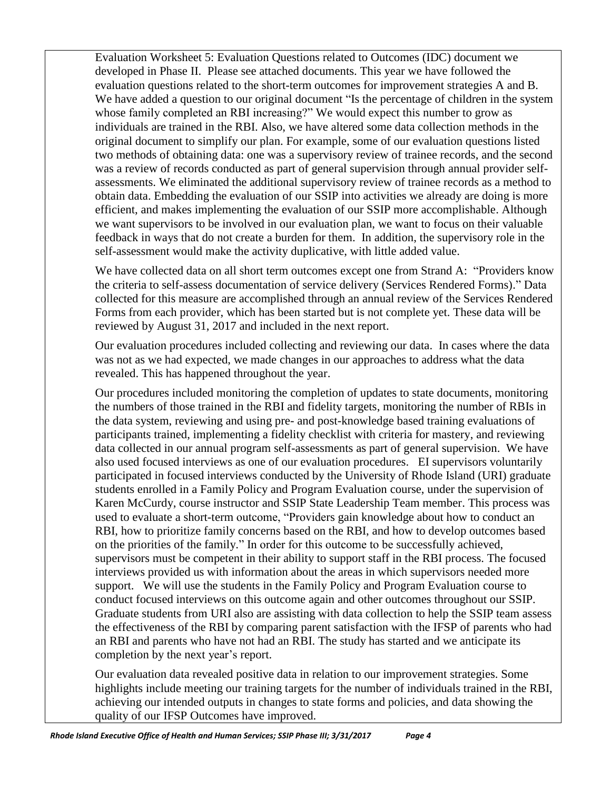Evaluation Worksheet 5: Evaluation Questions related to Outcomes (IDC) document we developed in Phase II. Please see attached documents. This year we have followed the evaluation questions related to the short-term outcomes for improvement strategies A and B. We have added a question to our original document "Is the percentage of children in the system whose family completed an RBI increasing?" We would expect this number to grow as individuals are trained in the RBI. Also, we have altered some data collection methods in the original document to simplify our plan. For example, some of our evaluation questions listed two methods of obtaining data: one was a supervisory review of trainee records, and the second was a review of records conducted as part of general supervision through annual provider selfassessments. We eliminated the additional supervisory review of trainee records as a method to obtain data. Embedding the evaluation of our SSIP into activities we already are doing is more efficient, and makes implementing the evaluation of our SSIP more accomplishable. Although we want supervisors to be involved in our evaluation plan, we want to focus on their valuable feedback in ways that do not create a burden for them. In addition, the supervisory role in the self-assessment would make the activity duplicative, with little added value.

We have collected data on all short term outcomes except one from Strand A: "Providers know" the criteria to self-assess documentation of service delivery (Services Rendered Forms)." Data collected for this measure are accomplished through an annual review of the Services Rendered Forms from each provider, which has been started but is not complete yet. These data will be reviewed by August 31, 2017 and included in the next report.

Our evaluation procedures included collecting and reviewing our data. In cases where the data was not as we had expected, we made changes in our approaches to address what the data revealed. This has happened throughout the year.

Our procedures included monitoring the completion of updates to state documents, monitoring the numbers of those trained in the RBI and fidelity targets, monitoring the number of RBIs in the data system, reviewing and using pre- and post-knowledge based training evaluations of participants trained, implementing a fidelity checklist with criteria for mastery, and reviewing data collected in our annual program self-assessments as part of general supervision. We have also used focused interviews as one of our evaluation procedures. EI supervisors voluntarily participated in focused interviews conducted by the University of Rhode Island (URI) graduate students enrolled in a Family Policy and Program Evaluation course, under the supervision of Karen McCurdy, course instructor and SSIP State Leadership Team member. This process was used to evaluate a short-term outcome, "Providers gain knowledge about how to conduct an RBI, how to prioritize family concerns based on the RBI, and how to develop outcomes based on the priorities of the family." In order for this outcome to be successfully achieved, supervisors must be competent in their ability to support staff in the RBI process. The focused interviews provided us with information about the areas in which supervisors needed more support. We will use the students in the Family Policy and Program Evaluation course to conduct focused interviews on this outcome again and other outcomes throughout our SSIP. Graduate students from URI also are assisting with data collection to help the SSIP team assess the effectiveness of the RBI by comparing parent satisfaction with the IFSP of parents who had an RBI and parents who have not had an RBI. The study has started and we anticipate its completion by the next year's report.

Our evaluation data revealed positive data in relation to our improvement strategies. Some highlights include meeting our training targets for the number of individuals trained in the RBI, achieving our intended outputs in changes to state forms and policies, and data showing the quality of our IFSP Outcomes have improved.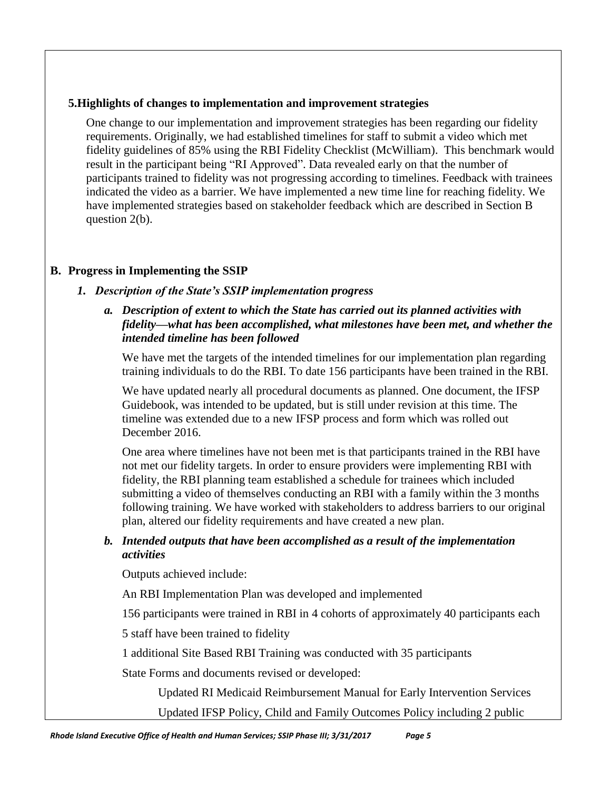# **5.Highlights of changes to implementation and improvement strategies**

One change to our implementation and improvement strategies has been regarding our fidelity requirements. Originally, we had established timelines for staff to submit a video which met fidelity guidelines of 85% using the RBI Fidelity Checklist (McWilliam). This benchmark would result in the participant being "RI Approved". Data revealed early on that the number of participants trained to fidelity was not progressing according to timelines. Feedback with trainees indicated the video as a barrier. We have implemented a new time line for reaching fidelity. We have implemented strategies based on stakeholder feedback which are described in Section B question 2(b).

# **B. Progress in Implementing the SSIP**

# *1. Description of the State's SSIP implementation progress*

# *a. Description of extent to which the State has carried out its planned activities with fidelity—what has been accomplished, what milestones have been met, and whether the intended timeline has been followed*

We have met the targets of the intended timelines for our implementation plan regarding training individuals to do the RBI. To date 156 participants have been trained in the RBI.

We have updated nearly all procedural documents as planned. One document, the IFSP Guidebook, was intended to be updated, but is still under revision at this time. The timeline was extended due to a new IFSP process and form which was rolled out December 2016.

One area where timelines have not been met is that participants trained in the RBI have not met our fidelity targets. In order to ensure providers were implementing RBI with fidelity, the RBI planning team established a schedule for trainees which included submitting a video of themselves conducting an RBI with a family within the 3 months following training. We have worked with stakeholders to address barriers to our original plan, altered our fidelity requirements and have created a new plan.

# *b. Intended outputs that have been accomplished as a result of the implementation activities*

Outputs achieved include:

An RBI Implementation Plan was developed and implemented

156 participants were trained in RBI in 4 cohorts of approximately 40 participants each

5 staff have been trained to fidelity

1 additional Site Based RBI Training was conducted with 35 participants

State Forms and documents revised or developed:

Updated RI Medicaid Reimbursement Manual for Early Intervention Services

Updated IFSP Policy, Child and Family Outcomes Policy including 2 public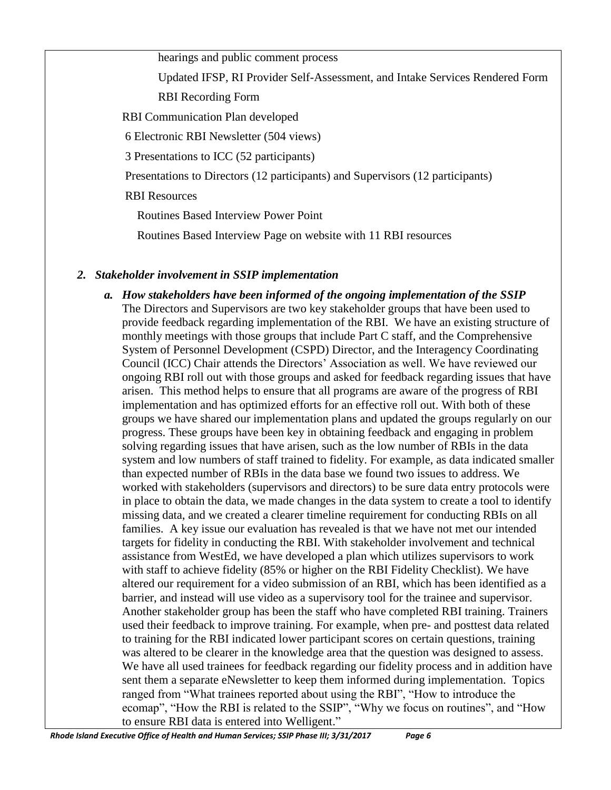hearings and public comment process

Updated IFSP, RI Provider Self-Assessment, and Intake Services Rendered Form RBI Recording Form

RBI Communication Plan developed

6 Electronic RBI Newsletter (504 views)

3 Presentations to ICC (52 participants)

Presentations to Directors (12 participants) and Supervisors (12 participants)

RBI Resources

Routines Based Interview Power Point

Routines Based Interview Page on website with 11 RBI resources

## *2. Stakeholder involvement in SSIP implementation*

*a. How stakeholders have been informed of the ongoing implementation of the SSIP* The Directors and Supervisors are two key stakeholder groups that have been used to provide feedback regarding implementation of the RBI. We have an existing structure of monthly meetings with those groups that include Part C staff, and the Comprehensive System of Personnel Development (CSPD) Director, and the Interagency Coordinating Council (ICC) Chair attends the Directors' Association as well. We have reviewed our ongoing RBI roll out with those groups and asked for feedback regarding issues that have arisen. This method helps to ensure that all programs are aware of the progress of RBI implementation and has optimized efforts for an effective roll out. With both of these groups we have shared our implementation plans and updated the groups regularly on our progress. These groups have been key in obtaining feedback and engaging in problem solving regarding issues that have arisen, such as the low number of RBIs in the data system and low numbers of staff trained to fidelity. For example, as data indicated smaller than expected number of RBIs in the data base we found two issues to address. We worked with stakeholders (supervisors and directors) to be sure data entry protocols were in place to obtain the data, we made changes in the data system to create a tool to identify missing data, and we created a clearer timeline requirement for conducting RBIs on all families. A key issue our evaluation has revealed is that we have not met our intended targets for fidelity in conducting the RBI. With stakeholder involvement and technical assistance from WestEd, we have developed a plan which utilizes supervisors to work with staff to achieve fidelity (85% or higher on the RBI Fidelity Checklist). We have altered our requirement for a video submission of an RBI, which has been identified as a barrier, and instead will use video as a supervisory tool for the trainee and supervisor. Another stakeholder group has been the staff who have completed RBI training. Trainers used their feedback to improve training. For example, when pre- and posttest data related to training for the RBI indicated lower participant scores on certain questions, training was altered to be clearer in the knowledge area that the question was designed to assess. We have all used trainees for feedback regarding our fidelity process and in addition have sent them a separate eNewsletter to keep them informed during implementation. Topics ranged from "What trainees reported about using the RBI", "How to introduce the ecomap", "How the RBI is related to the SSIP", "Why we focus on routines", and "How to ensure RBI data is entered into Welligent."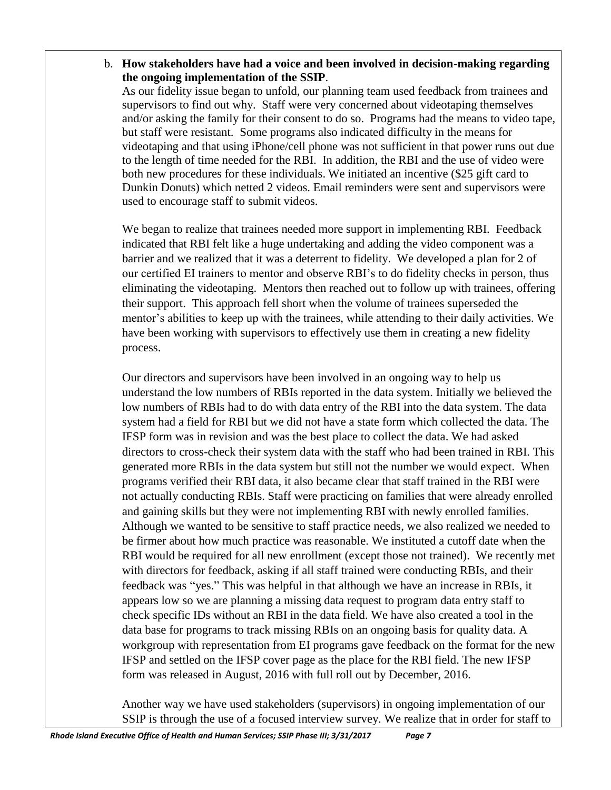b. **How stakeholders have had a voice and been involved in decision-making regarding the ongoing implementation of the SSIP**.

As our fidelity issue began to unfold, our planning team used feedback from trainees and supervisors to find out why. Staff were very concerned about videotaping themselves and/or asking the family for their consent to do so. Programs had the means to video tape, but staff were resistant. Some programs also indicated difficulty in the means for videotaping and that using iPhone/cell phone was not sufficient in that power runs out due to the length of time needed for the RBI. In addition, the RBI and the use of video were both new procedures for these individuals. We initiated an incentive (\$25 gift card to Dunkin Donuts) which netted 2 videos. Email reminders were sent and supervisors were used to encourage staff to submit videos.

We began to realize that trainees needed more support in implementing RBI. Feedback indicated that RBI felt like a huge undertaking and adding the video component was a barrier and we realized that it was a deterrent to fidelity. We developed a plan for 2 of our certified EI trainers to mentor and observe RBI's to do fidelity checks in person, thus eliminating the videotaping. Mentors then reached out to follow up with trainees, offering their support. This approach fell short when the volume of trainees superseded the mentor's abilities to keep up with the trainees, while attending to their daily activities. We have been working with supervisors to effectively use them in creating a new fidelity process.

Our directors and supervisors have been involved in an ongoing way to help us understand the low numbers of RBIs reported in the data system. Initially we believed the low numbers of RBIs had to do with data entry of the RBI into the data system. The data system had a field for RBI but we did not have a state form which collected the data. The IFSP form was in revision and was the best place to collect the data. We had asked directors to cross-check their system data with the staff who had been trained in RBI. This generated more RBIs in the data system but still not the number we would expect. When programs verified their RBI data, it also became clear that staff trained in the RBI were not actually conducting RBIs. Staff were practicing on families that were already enrolled and gaining skills but they were not implementing RBI with newly enrolled families. Although we wanted to be sensitive to staff practice needs, we also realized we needed to be firmer about how much practice was reasonable. We instituted a cutoff date when the RBI would be required for all new enrollment (except those not trained). We recently met with directors for feedback, asking if all staff trained were conducting RBIs, and their feedback was "yes." This was helpful in that although we have an increase in RBIs, it appears low so we are planning a missing data request to program data entry staff to check specific IDs without an RBI in the data field. We have also created a tool in the data base for programs to track missing RBIs on an ongoing basis for quality data. A workgroup with representation from EI programs gave feedback on the format for the new IFSP and settled on the IFSP cover page as the place for the RBI field. The new IFSP form was released in August, 2016 with full roll out by December, 2016.

Another way we have used stakeholders (supervisors) in ongoing implementation of our SSIP is through the use of a focused interview survey. We realize that in order for staff to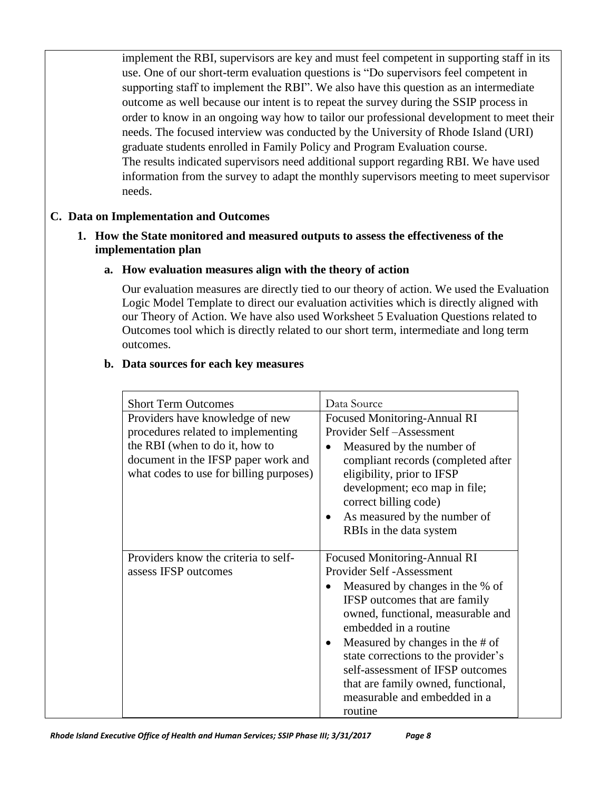implement the RBI, supervisors are key and must feel competent in supporting staff in its use. One of our short-term evaluation questions is "Do supervisors feel competent in supporting staff to implement the RBI". We also have this question as an intermediate outcome as well because our intent is to repeat the survey during the SSIP process in order to know in an ongoing way how to tailor our professional development to meet their needs. The focused interview was conducted by the University of Rhode Island (URI) graduate students enrolled in Family Policy and Program Evaluation course. The results indicated supervisors need additional support regarding RBI. We have used information from the survey to adapt the monthly supervisors meeting to meet supervisor needs.

## **C. Data on Implementation and Outcomes**

## **1. How the State monitored and measured outputs to assess the effectiveness of the implementation plan**

#### **a. How evaluation measures align with the theory of action**

Our evaluation measures are directly tied to our theory of action. We used the Evaluation Logic Model Template to direct our evaluation activities which is directly aligned with our Theory of Action. We have also used Worksheet 5 Evaluation Questions related to Outcomes tool which is directly related to our short term, intermediate and long term outcomes.

#### **b. Data sources for each key measures**

| <b>Short Term Outcomes</b>              | Data Source                         |
|-----------------------------------------|-------------------------------------|
| Providers have knowledge of new         | <b>Focused Monitoring-Annual RI</b> |
| procedures related to implementing      | Provider Self-Assessment            |
| the RBI (when to do it, how to          | Measured by the number of           |
| document in the IFSP paper work and     | compliant records (completed after  |
| what codes to use for billing purposes) | eligibility, prior to IFSP          |
|                                         | development; eco map in file;       |
|                                         | correct billing code)               |
|                                         | As measured by the number of        |
|                                         | RBIs in the data system             |
|                                         |                                     |
| Providers know the criteria to self-    | <b>Focused Monitoring-Annual RI</b> |
| assess IFSP outcomes                    | Provider Self -Assessment           |
|                                         | Measured by changes in the % of     |
|                                         | IFSP outcomes that are family       |
|                                         | owned, functional, measurable and   |
|                                         | embedded in a routine               |
|                                         | Measured by changes in the # of     |
|                                         | state corrections to the provider's |
|                                         | self-assessment of IFSP outcomes    |
|                                         | that are family owned, functional,  |
|                                         | measurable and embedded in a        |
|                                         | routine                             |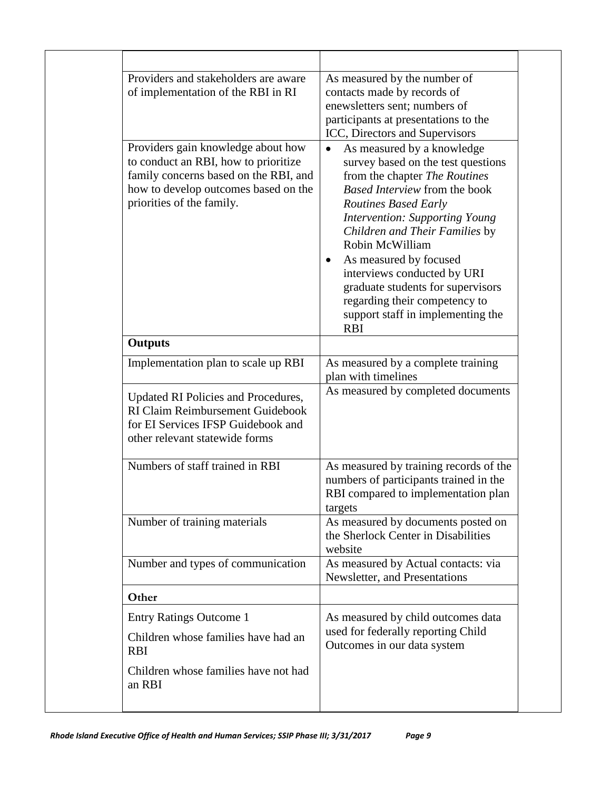| Providers and stakeholders are aware<br>of implementation of the RBI in RI                                                                                                               | As measured by the number of<br>contacts made by records of<br>enewsletters sent; numbers of<br>participants at presentations to the<br>ICC, Directors and Supervisors                                                                                                                                                                                                                                                                                                      |
|------------------------------------------------------------------------------------------------------------------------------------------------------------------------------------------|-----------------------------------------------------------------------------------------------------------------------------------------------------------------------------------------------------------------------------------------------------------------------------------------------------------------------------------------------------------------------------------------------------------------------------------------------------------------------------|
| Providers gain knowledge about how<br>to conduct an RBI, how to prioritize<br>family concerns based on the RBI, and<br>how to develop outcomes based on the<br>priorities of the family. | As measured by a knowledge<br>$\bullet$<br>survey based on the test questions<br>from the chapter The Routines<br>Based Interview from the book<br><b>Routines Based Early</b><br><b>Intervention: Supporting Young</b><br>Children and Their Families by<br>Robin McWilliam<br>As measured by focused<br>$\bullet$<br>interviews conducted by URI<br>graduate students for supervisors<br>regarding their competency to<br>support staff in implementing the<br><b>RBI</b> |
| <b>Outputs</b>                                                                                                                                                                           |                                                                                                                                                                                                                                                                                                                                                                                                                                                                             |
| Implementation plan to scale up RBI                                                                                                                                                      | As measured by a complete training<br>plan with timelines                                                                                                                                                                                                                                                                                                                                                                                                                   |
| Updated RI Policies and Procedures,<br>RI Claim Reimbursement Guidebook<br>for EI Services IFSP Guidebook and<br>other relevant statewide forms                                          | As measured by completed documents                                                                                                                                                                                                                                                                                                                                                                                                                                          |
| Numbers of staff trained in RBI                                                                                                                                                          | As measured by training records of the<br>numbers of participants trained in the<br>RBI compared to implementation plan<br>targets                                                                                                                                                                                                                                                                                                                                          |
| Number of training materials                                                                                                                                                             | As measured by documents posted on<br>the Sherlock Center in Disabilities<br>website                                                                                                                                                                                                                                                                                                                                                                                        |
| Number and types of communication                                                                                                                                                        | As measured by Actual contacts: via<br>Newsletter, and Presentations                                                                                                                                                                                                                                                                                                                                                                                                        |
| Other                                                                                                                                                                                    |                                                                                                                                                                                                                                                                                                                                                                                                                                                                             |
| <b>Entry Ratings Outcome 1</b><br>Children whose families have had an<br><b>RBI</b>                                                                                                      | As measured by child outcomes data<br>used for federally reporting Child<br>Outcomes in our data system                                                                                                                                                                                                                                                                                                                                                                     |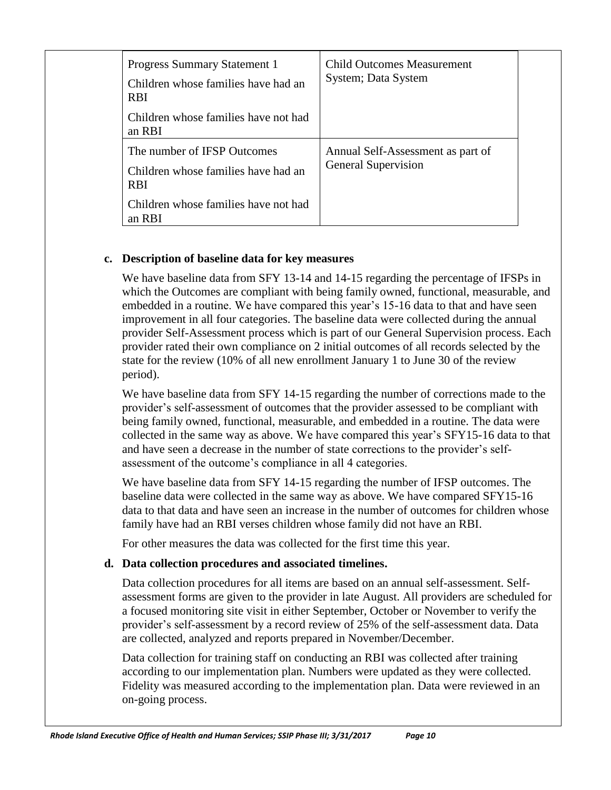| <b>Progress Summary Statement 1</b><br>Children whose families have had an<br><b>RBI</b><br>Children whose families have not had<br>an RBI | <b>Child Outcomes Measurement</b><br>System; Data System        |  |
|--------------------------------------------------------------------------------------------------------------------------------------------|-----------------------------------------------------------------|--|
| The number of IFSP Outcomes<br>Children whose families have had an<br><b>RBI</b><br>Children whose families have not had<br>an RBI         | Annual Self-Assessment as part of<br><b>General Supervision</b> |  |

# **c. Description of baseline data for key measures**

We have baseline data from SFY 13-14 and 14-15 regarding the percentage of IFSPs in which the Outcomes are compliant with being family owned, functional, measurable, and embedded in a routine. We have compared this year's 15-16 data to that and have seen improvement in all four categories. The baseline data were collected during the annual provider Self-Assessment process which is part of our General Supervision process. Each provider rated their own compliance on 2 initial outcomes of all records selected by the state for the review (10% of all new enrollment January 1 to June 30 of the review period).

We have baseline data from SFY 14-15 regarding the number of corrections made to the provider's self-assessment of outcomes that the provider assessed to be compliant with being family owned, functional, measurable, and embedded in a routine. The data were collected in the same way as above. We have compared this year's SFY15-16 data to that and have seen a decrease in the number of state corrections to the provider's selfassessment of the outcome's compliance in all 4 categories.

We have baseline data from SFY 14-15 regarding the number of IFSP outcomes. The baseline data were collected in the same way as above. We have compared SFY15-16 data to that data and have seen an increase in the number of outcomes for children whose family have had an RBI verses children whose family did not have an RBI.

For other measures the data was collected for the first time this year.

# **d. Data collection procedures and associated timelines.**

Data collection procedures for all items are based on an annual self-assessment. Selfassessment forms are given to the provider in late August. All providers are scheduled for a focused monitoring site visit in either September, October or November to verify the provider's self-assessment by a record review of 25% of the self-assessment data. Data are collected, analyzed and reports prepared in November/December.

Data collection for training staff on conducting an RBI was collected after training according to our implementation plan. Numbers were updated as they were collected. Fidelity was measured according to the implementation plan. Data were reviewed in an on-going process.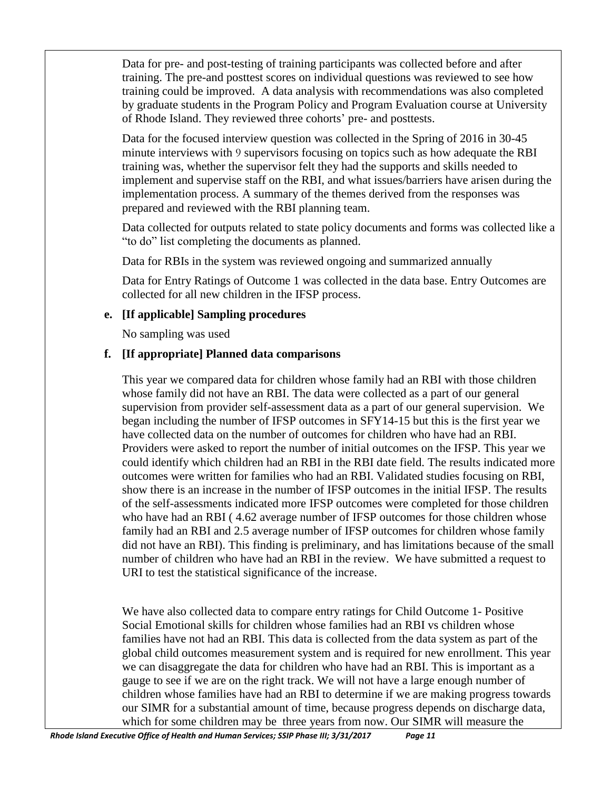Data for pre- and post-testing of training participants was collected before and after training. The pre-and posttest scores on individual questions was reviewed to see how training could be improved. A data analysis with recommendations was also completed by graduate students in the Program Policy and Program Evaluation course at University of Rhode Island. They reviewed three cohorts' pre- and posttests.

Data for the focused interview question was collected in the Spring of 2016 in 30-45 minute interviews with 9 supervisors focusing on topics such as how adequate the RBI training was, whether the supervisor felt they had the supports and skills needed to implement and supervise staff on the RBI, and what issues/barriers have arisen during the implementation process. A summary of the themes derived from the responses was prepared and reviewed with the RBI planning team.

Data collected for outputs related to state policy documents and forms was collected like a "to do" list completing the documents as planned.

Data for RBIs in the system was reviewed ongoing and summarized annually

Data for Entry Ratings of Outcome 1 was collected in the data base. Entry Outcomes are collected for all new children in the IFSP process.

# **e. [If applicable] Sampling procedures**

No sampling was used

# **f. [If appropriate] Planned data comparisons**

This year we compared data for children whose family had an RBI with those children whose family did not have an RBI. The data were collected as a part of our general supervision from provider self-assessment data as a part of our general supervision. We began including the number of IFSP outcomes in SFY14-15 but this is the first year we have collected data on the number of outcomes for children who have had an RBI. Providers were asked to report the number of initial outcomes on the IFSP. This year we could identify which children had an RBI in the RBI date field. The results indicated more outcomes were written for families who had an RBI. Validated studies focusing on RBI, show there is an increase in the number of IFSP outcomes in the initial IFSP. The results of the self-assessments indicated more IFSP outcomes were completed for those children who have had an RBI (4.62 average number of IFSP outcomes for those children whose family had an RBI and 2.5 average number of IFSP outcomes for children whose family did not have an RBI). This finding is preliminary, and has limitations because of the small number of children who have had an RBI in the review. We have submitted a request to URI to test the statistical significance of the increase.

We have also collected data to compare entry ratings for Child Outcome 1- Positive Social Emotional skills for children whose families had an RBI vs children whose families have not had an RBI. This data is collected from the data system as part of the global child outcomes measurement system and is required for new enrollment. This year we can disaggregate the data for children who have had an RBI. This is important as a gauge to see if we are on the right track. We will not have a large enough number of children whose families have had an RBI to determine if we are making progress towards our SIMR for a substantial amount of time, because progress depends on discharge data, which for some children may be three years from now. Our SIMR will measure the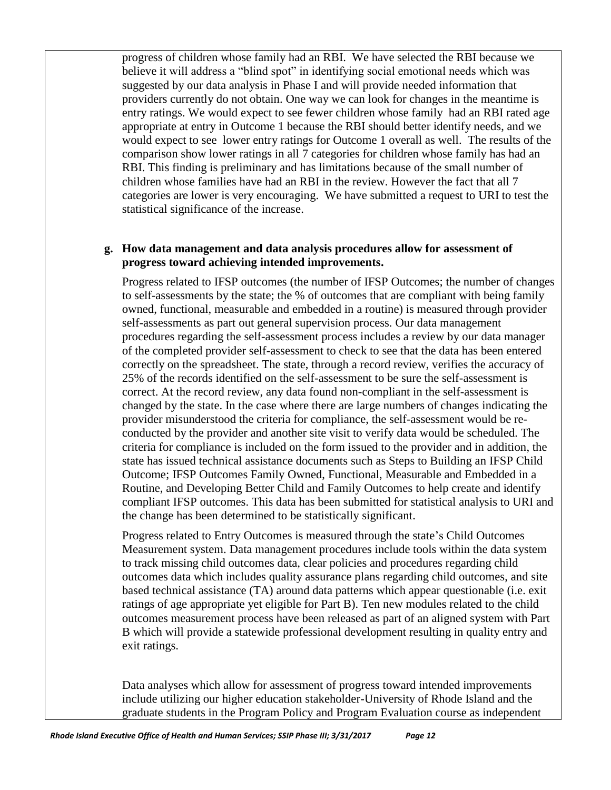progress of children whose family had an RBI. We have selected the RBI because we believe it will address a "blind spot" in identifying social emotional needs which was suggested by our data analysis in Phase I and will provide needed information that providers currently do not obtain. One way we can look for changes in the meantime is entry ratings. We would expect to see fewer children whose family had an RBI rated age appropriate at entry in Outcome 1 because the RBI should better identify needs, and we would expect to see lower entry ratings for Outcome 1 overall as well. The results of the comparison show lower ratings in all 7 categories for children whose family has had an RBI. This finding is preliminary and has limitations because of the small number of children whose families have had an RBI in the review. However the fact that all 7 categories are lower is very encouraging. We have submitted a request to URI to test the statistical significance of the increase.

# **g. How data management and data analysis procedures allow for assessment of progress toward achieving intended improvements.**

Progress related to IFSP outcomes (the number of IFSP Outcomes; the number of changes to self-assessments by the state; the % of outcomes that are compliant with being family owned, functional, measurable and embedded in a routine) is measured through provider self-assessments as part out general supervision process. Our data management procedures regarding the self-assessment process includes a review by our data manager of the completed provider self-assessment to check to see that the data has been entered correctly on the spreadsheet. The state, through a record review, verifies the accuracy of 25% of the records identified on the self-assessment to be sure the self-assessment is correct. At the record review, any data found non-compliant in the self-assessment is changed by the state. In the case where there are large numbers of changes indicating the provider misunderstood the criteria for compliance, the self-assessment would be reconducted by the provider and another site visit to verify data would be scheduled. The criteria for compliance is included on the form issued to the provider and in addition, the state has issued technical assistance documents such as Steps to Building an IFSP Child Outcome; IFSP Outcomes Family Owned, Functional, Measurable and Embedded in a Routine, and Developing Better Child and Family Outcomes to help create and identify compliant IFSP outcomes. This data has been submitted for statistical analysis to URI and the change has been determined to be statistically significant.

Progress related to Entry Outcomes is measured through the state's Child Outcomes Measurement system. Data management procedures include tools within the data system to track missing child outcomes data, clear policies and procedures regarding child outcomes data which includes quality assurance plans regarding child outcomes, and site based technical assistance (TA) around data patterns which appear questionable (i.e. exit ratings of age appropriate yet eligible for Part B). Ten new modules related to the child outcomes measurement process have been released as part of an aligned system with Part B which will provide a statewide professional development resulting in quality entry and exit ratings.

Data analyses which allow for assessment of progress toward intended improvements include utilizing our higher education stakeholder-University of Rhode Island and the graduate students in the Program Policy and Program Evaluation course as independent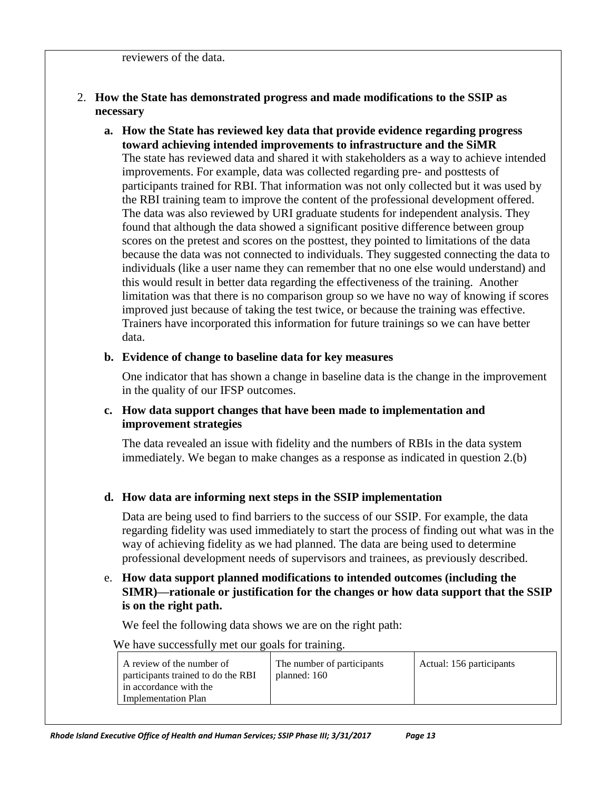#### reviewers of the data.

# 2. **How the State has demonstrated progress and made modifications to the SSIP as necessary**

**a. How the State has reviewed key data that provide evidence regarding progress toward achieving intended improvements to infrastructure and the SiMR** The state has reviewed data and shared it with stakeholders as a way to achieve intended improvements. For example, data was collected regarding pre- and posttests of participants trained for RBI. That information was not only collected but it was used by the RBI training team to improve the content of the professional development offered. The data was also reviewed by URI graduate students for independent analysis. They found that although the data showed a significant positive difference between group scores on the pretest and scores on the posttest, they pointed to limitations of the data because the data was not connected to individuals. They suggested connecting the data to individuals (like a user name they can remember that no one else would understand) and this would result in better data regarding the effectiveness of the training. Another limitation was that there is no comparison group so we have no way of knowing if scores improved just because of taking the test twice, or because the training was effective. Trainers have incorporated this information for future trainings so we can have better data.

#### **b. Evidence of change to baseline data for key measures**

One indicator that has shown a change in baseline data is the change in the improvement in the quality of our IFSP outcomes.

#### **c. How data support changes that have been made to implementation and improvement strategies**

The data revealed an issue with fidelity and the numbers of RBIs in the data system immediately. We began to make changes as a response as indicated in question 2.(b)

# **d. How data are informing next steps in the SSIP implementation**

Data are being used to find barriers to the success of our SSIP. For example, the data regarding fidelity was used immediately to start the process of finding out what was in the way of achieving fidelity as we had planned. The data are being used to determine professional development needs of supervisors and trainees, as previously described.

# e. **How data support planned modifications to intended outcomes (including the SIMR)—rationale or justification for the changes or how data support that the SSIP is on the right path.**

We feel the following data shows we are on the right path:

We have successfully met our goals for training.

| A review of the number of<br>participants trained to do the RBI<br>in accordance with the<br><b>Implementation Plan</b> | The number of participants<br>planned: 160 | Actual: 156 participants |
|-------------------------------------------------------------------------------------------------------------------------|--------------------------------------------|--------------------------|
|-------------------------------------------------------------------------------------------------------------------------|--------------------------------------------|--------------------------|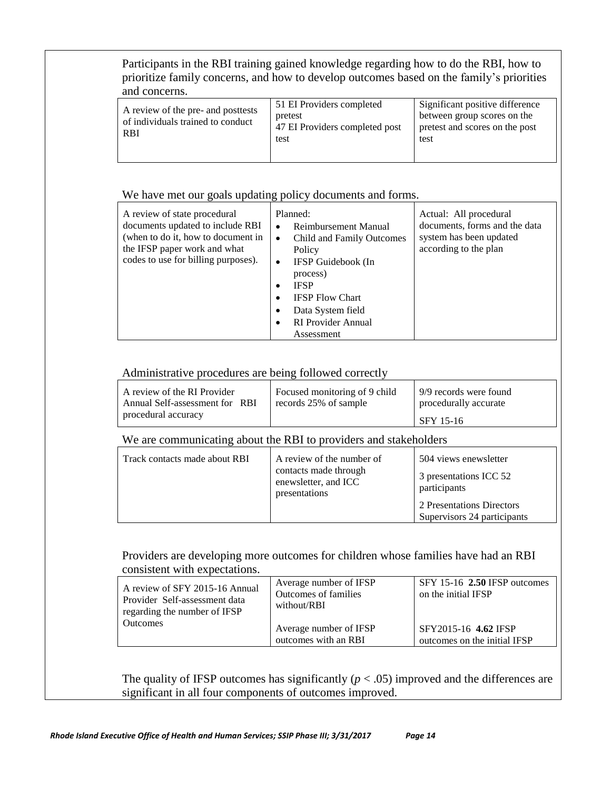Participants in the RBI training gained knowledge regarding how to do the RBI, how to prioritize family concerns, and how to develop outcomes based on the family's priorities and concerns.

| A review of the pre- and posttests<br>of individuals trained to conduct<br><b>RBI</b> | 51 EI Providers completed<br>pretest<br>47 EI Providers completed post<br>test | Significant positive difference<br>between group scores on the<br>pretest and scores on the post<br>test |
|---------------------------------------------------------------------------------------|--------------------------------------------------------------------------------|----------------------------------------------------------------------------------------------------------|
|                                                                                       |                                                                                |                                                                                                          |

#### We have met our goals updating policy documents and forms.

| A review of state procedural<br>documents updated to include RBI<br>(when to do it, how to document in<br>the IFSP paper work and what<br>codes to use for billing purposes). | Planned:<br>Reimbursement Manual<br>٠<br>Child and Family Outcomes<br>$\bullet$<br>Policy<br>IFSP Guidebook (In<br>٠<br>process)<br><b>IFSP</b><br><b>IFSP Flow Chart</b><br>Data System field<br>٠<br><b>RI</b> Provider Annual<br>Assessment | Actual: All procedural<br>documents, forms and the data<br>system has been updated<br>according to the plan |
|-------------------------------------------------------------------------------------------------------------------------------------------------------------------------------|------------------------------------------------------------------------------------------------------------------------------------------------------------------------------------------------------------------------------------------------|-------------------------------------------------------------------------------------------------------------|
|-------------------------------------------------------------------------------------------------------------------------------------------------------------------------------|------------------------------------------------------------------------------------------------------------------------------------------------------------------------------------------------------------------------------------------------|-------------------------------------------------------------------------------------------------------------|

#### Administrative procedures are being followed correctly

| A review of the RI Provider    | Focused monitoring of 9 child | 9/9 records were found |
|--------------------------------|-------------------------------|------------------------|
| Annual Self-assessment for RBI | records 25% of sample         | procedurally accurate  |
| procedural accuracy            |                               | SFY 15-16              |

#### We are communicating about the RBI to providers and stakeholders

| Track contacts made about RBI | A review of the number of<br>contacts made through<br>enewsletter, and ICC<br>presentations |                                                          |
|-------------------------------|---------------------------------------------------------------------------------------------|----------------------------------------------------------|
|                               |                                                                                             | 2 Presentations Directors<br>Supervisors 24 participants |

## Providers are developing more outcomes for children whose families have had an RBI consistent with expectations.

| A review of SFY 2015-16 Annual<br>Provider Self-assessment data<br>regarding the number of IFSP | Average number of IFSP<br>Outcomes of families<br>without/RBI | $SFY$ 15-16 2.50 IFSP outcomes<br>on the initial IFSP |
|-------------------------------------------------------------------------------------------------|---------------------------------------------------------------|-------------------------------------------------------|
| <b>Outcomes</b>                                                                                 | Average number of IFSP<br>outcomes with an RBI                | SFY2015-16 4.62 IFSP<br>outcomes on the initial IFSP  |

The quality of IFSP outcomes has significantly  $(p < .05)$  improved and the differences are significant in all four components of outcomes improved.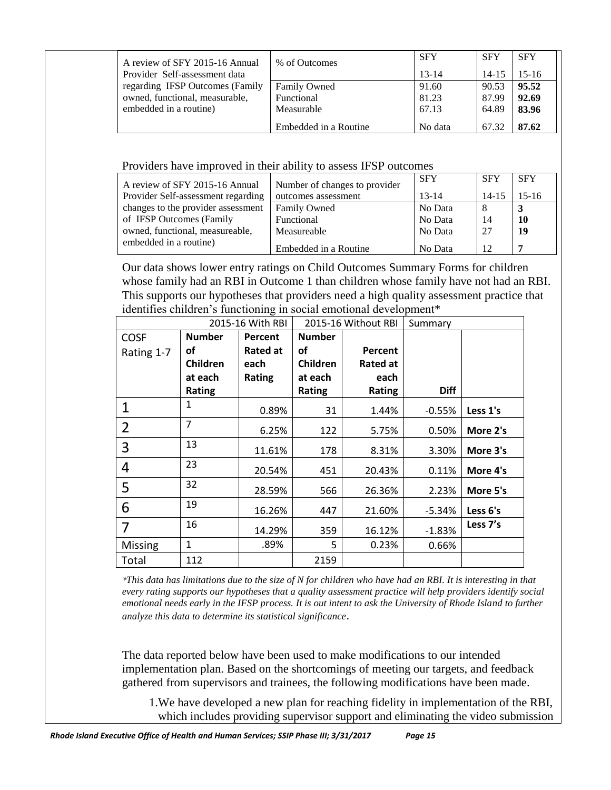| A review of SFY 2015-16 Annual  | % of Outcomes         | <b>SFY</b> | <b>SFY</b> | <b>SFY</b> |
|---------------------------------|-----------------------|------------|------------|------------|
| Provider Self-assessment data   |                       | $13 - 14$  | $14 - 15$  | $15-16$    |
| regarding IFSP Outcomes (Family | <b>Family Owned</b>   | 91.60      | 90.53      | 95.52      |
| owned, functional, measurable,  | Functional            | 81.23      | 87.99      | 92.69      |
| embedded in a routine)          | Measurable            | 67.13      | 64.89      | 83.96      |
|                                 | Embedded in a Routine | No data    | 67.32      | 87.62      |

Providers have improved in their ability to assess IFSP outcomes

| A review of SFY 2015-16 Annual     | Number of changes to provider | <b>SFY</b> | <b>SFY</b> | <b>SFY</b> |
|------------------------------------|-------------------------------|------------|------------|------------|
| Provider Self-assessment regarding | outcomes assessment           | $13 - 14$  | $14 - 15$  | $15-16$    |
| changes to the provider assessment | <b>Family Owned</b>           | No Data    | -8         |            |
| of IFSP Outcomes (Family           | Functional                    | No Data    | 14         | 10         |
| owned, functional, measureable,    | Measureable                   | No Data    | -27        | 19         |
| embedded in a routine)             | Embedded in a Routine         | No Data    | 12         | ь          |

Our data shows lower entry ratings on Child Outcomes Summary Forms for children whose family had an RBI in Outcome 1 than children whose family have not had an RBI. This supports our hypotheses that providers need a high quality assessment practice that identifies children's functioning in social emotional development\*

| 2015-16 With RBI |                 | 2015-16 Without RBI |                 | Summary  |             |          |
|------------------|-----------------|---------------------|-----------------|----------|-------------|----------|
| <b>COSF</b>      | <b>Number</b>   | Percent             | <b>Number</b>   |          |             |          |
| Rating 1-7       | οf              | <b>Rated at</b>     | οf              | Percent  |             |          |
|                  | <b>Children</b> | each                | <b>Children</b> | Rated at |             |          |
|                  | at each         | <b>Rating</b>       | at each         | each     |             |          |
|                  | <b>Rating</b>   |                     | Rating          | Rating   | <b>Diff</b> |          |
| 1                | 1               | 0.89%               | 31              | 1.44%    | $-0.55%$    | Less 1's |
| $\overline{2}$   | $\overline{7}$  | 6.25%               | 122             | 5.75%    | 0.50%       | More 2's |
| 3                | 13              | 11.61%              | 178             | 8.31%    | 3.30%       | More 3's |
| 4                | 23              | 20.54%              | 451             | 20.43%   | 0.11%       | More 4's |
| 5                | 32              | 28.59%              | 566             | 26.36%   | 2.23%       | More 5's |
| 6                | 19              | 16.26%              | 447             | 21.60%   | -5.34%      | Less 6's |
| 7                | 16              | 14.29%              | 359             | 16.12%   | $-1.83%$    | Less 7's |
| <b>Missing</b>   | $\mathbf{1}$    | .89%                | 5               | 0.23%    | 0.66%       |          |
| Total            | 112             |                     | 2159            |          |             |          |

*\*This data has limitations due to the size of N for children who have had an RBI. It is interesting in that every rating supports our hypotheses that a quality assessment practice will help providers identify social emotional needs early in the IFSP process. It is out intent to ask the University of Rhode Island to further analyze this data to determine its statistical significance*.

The data reported below have been used to make modifications to our intended implementation plan. Based on the shortcomings of meeting our targets, and feedback gathered from supervisors and trainees, the following modifications have been made.

1.We have developed a new plan for reaching fidelity in implementation of the RBI, which includes providing supervisor support and eliminating the video submission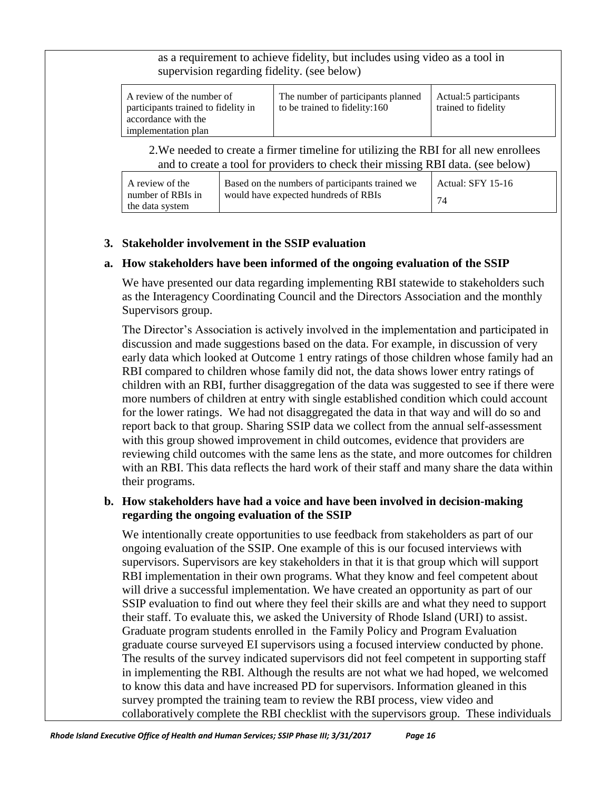as a requirement to achieve fidelity, but includes using video as a tool in supervision regarding fidelity. (see below)

| A review of the number of<br>participants trained to fidelity in<br>accordance with the | The number of participants planned<br>to be trained to fidelity:160 | Actual:5 participants<br>trained to fidelity |
|-----------------------------------------------------------------------------------------|---------------------------------------------------------------------|----------------------------------------------|
| implementation plan                                                                     |                                                                     |                                              |

2.We needed to create a firmer timeline for utilizing the RBI for all new enrollees and to create a tool for providers to check their missing RBI data. (see below)

| A review of the   | Based on the numbers of participants trained we | Actual: SFY 15-16 |
|-------------------|-------------------------------------------------|-------------------|
| number of RBIs in | would have expected hundreds of RBIs            |                   |
| the data system   |                                                 |                   |

# **3. Stakeholder involvement in the SSIP evaluation**

## **a. How stakeholders have been informed of the ongoing evaluation of the SSIP**

We have presented our data regarding implementing RBI statewide to stakeholders such as the Interagency Coordinating Council and the Directors Association and the monthly Supervisors group.

The Director's Association is actively involved in the implementation and participated in discussion and made suggestions based on the data. For example, in discussion of very early data which looked at Outcome 1 entry ratings of those children whose family had an RBI compared to children whose family did not, the data shows lower entry ratings of children with an RBI, further disaggregation of the data was suggested to see if there were more numbers of children at entry with single established condition which could account for the lower ratings. We had not disaggregated the data in that way and will do so and report back to that group. Sharing SSIP data we collect from the annual self-assessment with this group showed improvement in child outcomes, evidence that providers are reviewing child outcomes with the same lens as the state, and more outcomes for children with an RBI. This data reflects the hard work of their staff and many share the data within their programs.

# **b. How stakeholders have had a voice and have been involved in decision-making regarding the ongoing evaluation of the SSIP**

We intentionally create opportunities to use feedback from stakeholders as part of our ongoing evaluation of the SSIP. One example of this is our focused interviews with supervisors. Supervisors are key stakeholders in that it is that group which will support RBI implementation in their own programs. What they know and feel competent about will drive a successful implementation. We have created an opportunity as part of our SSIP evaluation to find out where they feel their skills are and what they need to support their staff. To evaluate this, we asked the University of Rhode Island (URI) to assist. Graduate program students enrolled in the Family Policy and Program Evaluation graduate course surveyed EI supervisors using a focused interview conducted by phone. The results of the survey indicated supervisors did not feel competent in supporting staff in implementing the RBI. Although the results are not what we had hoped, we welcomed to know this data and have increased PD for supervisors. Information gleaned in this survey prompted the training team to review the RBI process, view video and collaboratively complete the RBI checklist with the supervisors group. These individuals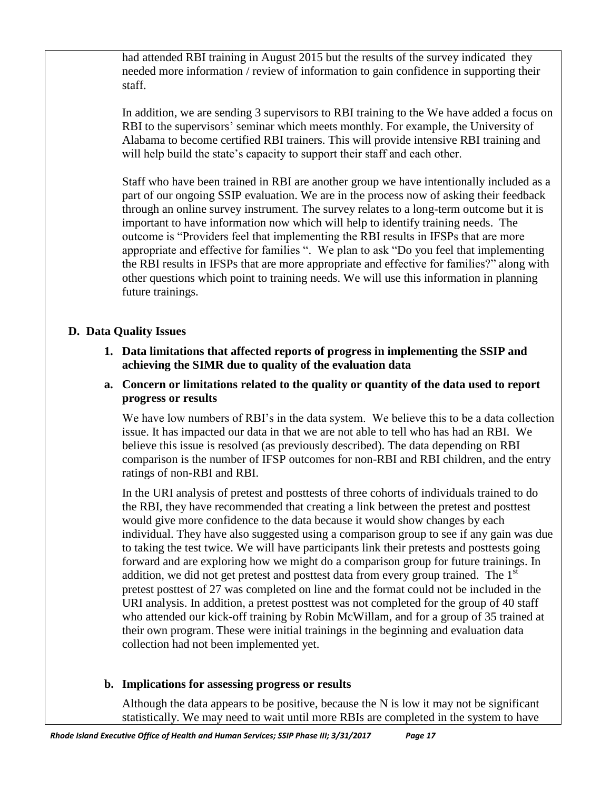had attended RBI training in August 2015 but the results of the survey indicated they needed more information / review of information to gain confidence in supporting their staff.

In addition, we are sending 3 supervisors to RBI training to the We have added a focus on RBI to the supervisors' seminar which meets monthly. For example, the University of Alabama to become certified RBI trainers. This will provide intensive RBI training and will help build the state's capacity to support their staff and each other.

Staff who have been trained in RBI are another group we have intentionally included as a part of our ongoing SSIP evaluation. We are in the process now of asking their feedback through an online survey instrument. The survey relates to a long-term outcome but it is important to have information now which will help to identify training needs. The outcome is "Providers feel that implementing the RBI results in IFSPs that are more appropriate and effective for families ". We plan to ask "Do you feel that implementing the RBI results in IFSPs that are more appropriate and effective for families?" along with other questions which point to training needs. We will use this information in planning future trainings.

# **D. Data Quality Issues**

- **1. Data limitations that affected reports of progress in implementing the SSIP and achieving the SIMR due to quality of the evaluation data**
- **a. Concern or limitations related to the quality or quantity of the data used to report progress or results**

We have low numbers of RBI's in the data system. We believe this to be a data collection issue. It has impacted our data in that we are not able to tell who has had an RBI. We believe this issue is resolved (as previously described). The data depending on RBI comparison is the number of IFSP outcomes for non-RBI and RBI children, and the entry ratings of non-RBI and RBI.

In the URI analysis of pretest and posttests of three cohorts of individuals trained to do the RBI, they have recommended that creating a link between the pretest and posttest would give more confidence to the data because it would show changes by each individual. They have also suggested using a comparison group to see if any gain was due to taking the test twice. We will have participants link their pretests and posttests going forward and are exploring how we might do a comparison group for future trainings. In addition, we did not get pretest and posttest data from every group trained. The  $1<sup>st</sup>$ pretest posttest of 27 was completed on line and the format could not be included in the URI analysis. In addition, a pretest posttest was not completed for the group of 40 staff who attended our kick-off training by Robin McWillam, and for a group of 35 trained at their own program. These were initial trainings in the beginning and evaluation data collection had not been implemented yet.

# **b. Implications for assessing progress or results**

Although the data appears to be positive, because the  $N$  is low it may not be significant statistically. We may need to wait until more RBIs are completed in the system to have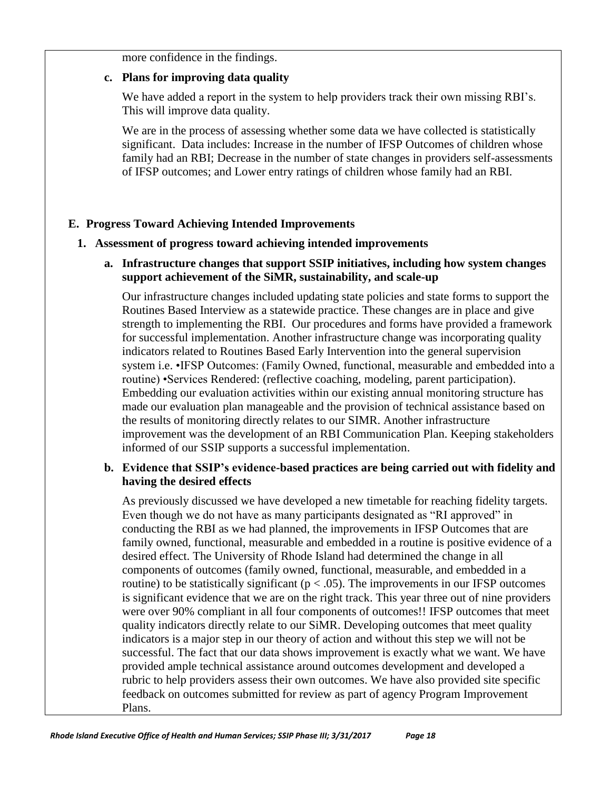more confidence in the findings.

## **c. Plans for improving data quality**

We have added a report in the system to help providers track their own missing RBI's. This will improve data quality.

We are in the process of assessing whether some data we have collected is statistically significant. Data includes: Increase in the number of IFSP Outcomes of children whose family had an RBI; Decrease in the number of state changes in providers self-assessments of IFSP outcomes; and Lower entry ratings of children whose family had an RBI.

# **E. Progress Toward Achieving Intended Improvements**

## **1. Assessment of progress toward achieving intended improvements**

# **a. Infrastructure changes that support SSIP initiatives, including how system changes support achievement of the SiMR, sustainability, and scale-up**

Our infrastructure changes included updating state policies and state forms to support the Routines Based Interview as a statewide practice. These changes are in place and give strength to implementing the RBI. Our procedures and forms have provided a framework for successful implementation. Another infrastructure change was incorporating quality indicators related to Routines Based Early Intervention into the general supervision system i.e. •IFSP Outcomes: (Family Owned, functional, measurable and embedded into a routine) •Services Rendered: (reflective coaching, modeling, parent participation). Embedding our evaluation activities within our existing annual monitoring structure has made our evaluation plan manageable and the provision of technical assistance based on the results of monitoring directly relates to our SIMR. Another infrastructure improvement was the development of an RBI Communication Plan. Keeping stakeholders informed of our SSIP supports a successful implementation.

# **b. Evidence that SSIP's evidence-based practices are being carried out with fidelity and having the desired effects**

As previously discussed we have developed a new timetable for reaching fidelity targets. Even though we do not have as many participants designated as "RI approved" in conducting the RBI as we had planned, the improvements in IFSP Outcomes that are family owned, functional, measurable and embedded in a routine is positive evidence of a desired effect. The University of Rhode Island had determined the change in all components of outcomes (family owned, functional, measurable, and embedded in a routine) to be statistically significant ( $p < .05$ ). The improvements in our IFSP outcomes is significant evidence that we are on the right track. This year three out of nine providers were over 90% compliant in all four components of outcomes!! IFSP outcomes that meet quality indicators directly relate to our SiMR. Developing outcomes that meet quality indicators is a major step in our theory of action and without this step we will not be successful. The fact that our data shows improvement is exactly what we want. We have provided ample technical assistance around outcomes development and developed a rubric to help providers assess their own outcomes. We have also provided site specific feedback on outcomes submitted for review as part of agency Program Improvement Plans.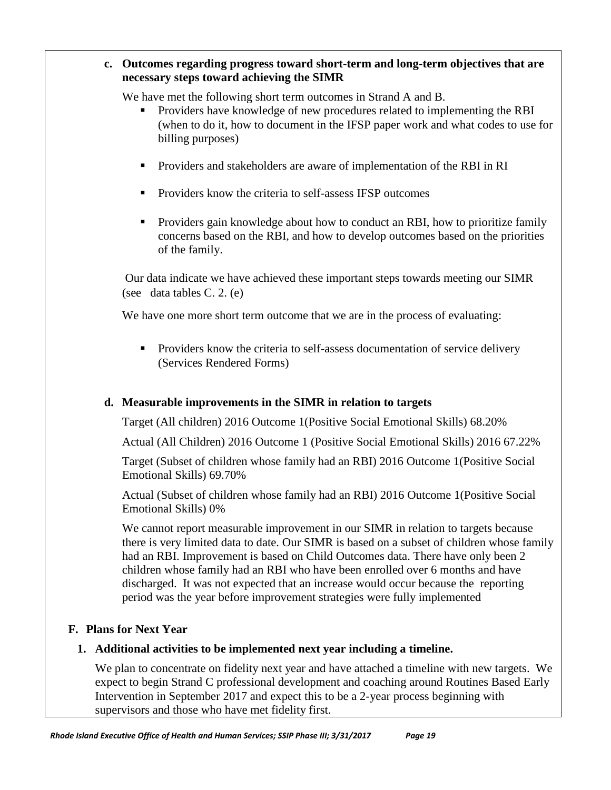## **c. Outcomes regarding progress toward short-term and long-term objectives that are necessary steps toward achieving the SIMR**

We have met the following short term outcomes in Strand A and B.

- **Providers have knowledge of new procedures related to implementing the RBI** (when to do it, how to document in the IFSP paper work and what codes to use for billing purposes)
- Providers and stakeholders are aware of implementation of the RBI in RI
- **Providers know the criteria to self-assess IFSP outcomes**
- **Providers gain knowledge about how to conduct an RBI, how to prioritize family** concerns based on the RBI, and how to develop outcomes based on the priorities of the family.

Our data indicate we have achieved these important steps towards meeting our SIMR (see data tables C. 2. (e)

We have one more short term outcome that we are in the process of evaluating:

**Providers know the criteria to self-assess documentation of service delivery** (Services Rendered Forms)

# **d. Measurable improvements in the SIMR in relation to targets**

Target (All children) 2016 Outcome 1(Positive Social Emotional Skills) 68.20%

Actual (All Children) 2016 Outcome 1 (Positive Social Emotional Skills) 2016 67.22%

Target (Subset of children whose family had an RBI) 2016 Outcome 1(Positive Social Emotional Skills) 69.70%

Actual (Subset of children whose family had an RBI) 2016 Outcome 1(Positive Social Emotional Skills) 0%

We cannot report measurable improvement in our SIMR in relation to targets because there is very limited data to date. Our SIMR is based on a subset of children whose family had an RBI. Improvement is based on Child Outcomes data. There have only been 2 children whose family had an RBI who have been enrolled over 6 months and have discharged. It was not expected that an increase would occur because the reporting period was the year before improvement strategies were fully implemented

# **F. Plans for Next Year**

# **1. Additional activities to be implemented next year including a timeline.**

We plan to concentrate on fidelity next year and have attached a timeline with new targets. We expect to begin Strand C professional development and coaching around Routines Based Early Intervention in September 2017 and expect this to be a 2-year process beginning with supervisors and those who have met fidelity first.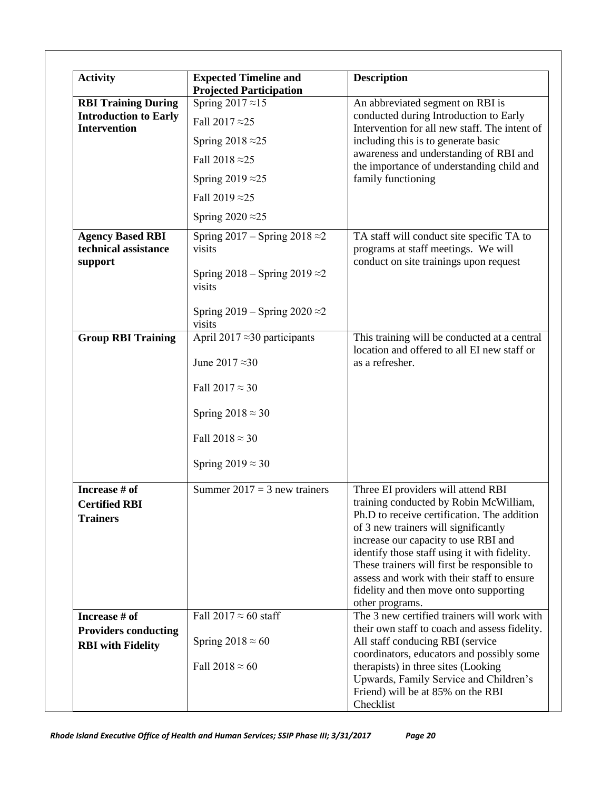| Activity                                                   | <b>Expected Timeline and</b><br><b>Projected Participation</b>                                                                      | <b>Description</b>                                                                                                             |  |
|------------------------------------------------------------|-------------------------------------------------------------------------------------------------------------------------------------|--------------------------------------------------------------------------------------------------------------------------------|--|
| <b>RBI Training During</b>                                 | Spring $2017 \approx 15$                                                                                                            | An abbreviated segment on RBI is                                                                                               |  |
| <b>Introduction to Early</b><br><b>Intervention</b>        | Fall 2017 $\approx$ 25                                                                                                              | conducted during Introduction to Early<br>Intervention for all new staff. The intent of<br>including this is to generate basic |  |
|                                                            | Spring $2018 \approx 25$                                                                                                            |                                                                                                                                |  |
|                                                            | Fall 2018 $\approx$ 25                                                                                                              | awareness and understanding of RBI and<br>the importance of understanding child and                                            |  |
|                                                            | Spring $2019 \approx 25$                                                                                                            | family functioning                                                                                                             |  |
|                                                            | Fall 2019 $\approx$ 25                                                                                                              |                                                                                                                                |  |
|                                                            | Spring $2020 \approx 25$                                                                                                            |                                                                                                                                |  |
| <b>Agency Based RBI</b><br>technical assistance<br>support | Spring $2017 -$ Spring $2018 \approx 2$<br>visits                                                                                   | TA staff will conduct site specific TA to<br>programs at staff meetings. We will<br>conduct on site trainings upon request     |  |
|                                                            | Spring $2018 -$ Spring $2019 \approx 2$<br>visits                                                                                   |                                                                                                                                |  |
|                                                            | Spring $2019 -$ Spring $2020 \approx 2$<br>visits                                                                                   |                                                                                                                                |  |
| <b>Group RBI Training</b>                                  | April 2017 $\approx$ 30 participants<br>This training will be conducted at a central<br>location and offered to all EI new staff or |                                                                                                                                |  |
|                                                            | June 2017 $\approx$ 30                                                                                                              | as a refresher.                                                                                                                |  |
|                                                            | Fall $2017 \approx 30$                                                                                                              |                                                                                                                                |  |
|                                                            | Spring $2018 \approx 30$                                                                                                            |                                                                                                                                |  |
|                                                            | Fall $2018 \approx 30$                                                                                                              |                                                                                                                                |  |
|                                                            | Spring $2019 \approx 30$                                                                                                            |                                                                                                                                |  |
| Increase # of                                              | Summer $2017 = 3$ new trainers                                                                                                      | Three EI providers will attend RBI                                                                                             |  |
| <b>Certified RBI</b>                                       |                                                                                                                                     | training conducted by Robin McWilliam,                                                                                         |  |
| <b>Trainers</b>                                            |                                                                                                                                     | Ph.D to receive certification. The addition                                                                                    |  |
|                                                            |                                                                                                                                     | of 3 new trainers will significantly                                                                                           |  |
|                                                            |                                                                                                                                     | increase our capacity to use RBI and<br>identify those staff using it with fidelity.                                           |  |
|                                                            |                                                                                                                                     | These trainers will first be responsible to                                                                                    |  |
|                                                            |                                                                                                                                     | assess and work with their staff to ensure                                                                                     |  |
|                                                            |                                                                                                                                     | fidelity and then move onto supporting                                                                                         |  |
|                                                            |                                                                                                                                     | other programs.                                                                                                                |  |
| Increase # of                                              | Fall 2017 $\approx$ 60 staff                                                                                                        | The 3 new certified trainers will work with                                                                                    |  |
| <b>Providers conducting</b>                                |                                                                                                                                     | their own staff to coach and assess fidelity.                                                                                  |  |
| <b>RBI</b> with Fidelity                                   | Spring $2018 \approx 60$                                                                                                            | All staff conducing RBI (service<br>coordinators, educators and possibly some                                                  |  |
|                                                            | Fall $2018 \approx 60$                                                                                                              | therapists) in three sites (Looking                                                                                            |  |
|                                                            |                                                                                                                                     | Upwards, Family Service and Children's                                                                                         |  |
|                                                            |                                                                                                                                     | Friend) will be at 85% on the RBI                                                                                              |  |
|                                                            |                                                                                                                                     | Checklist                                                                                                                      |  |